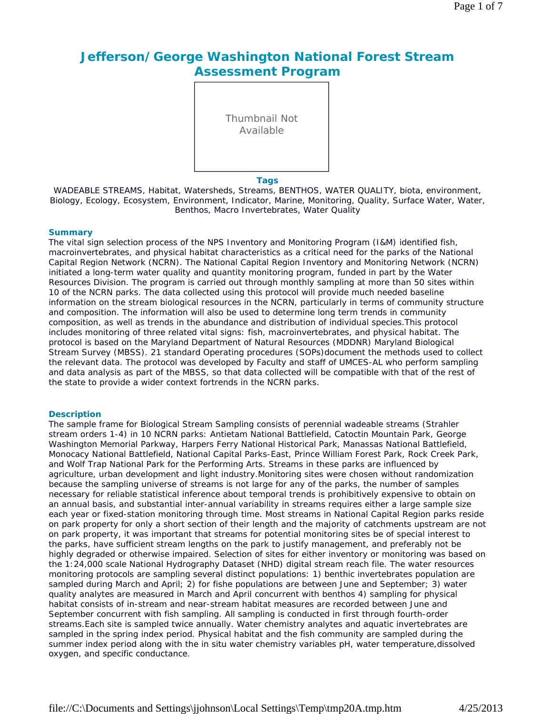# **Jefferson/George Washington National Forest Stream Assessment Program**

Thumbnail Not Available

#### **Tags**

WADEABLE STREAMS, Habitat, Watersheds, Streams, BENTHOS, WATER QUALITY, biota, environment, Biology, Ecology, Ecosystem, Environment, Indicator, Marine, Monitoring, Quality, Surface Water, Water, Benthos, Macro Invertebrates, Water Quality

### **Summary**

The vital sign selection process of the NPS Inventory and Monitoring Program (I&M) identified fish, macroinvertebrates, and physical habitat characteristics as a critical need for the parks of the National Capital Region Network (NCRN). The National Capital Region Inventory and Monitoring Network (NCRN) initiated a long-term water quality and quantity monitoring program, funded in part by the Water Resources Division. The program is carried out through monthly sampling at more than 50 sites within 10 of the NCRN parks. The data collected using this protocol will provide much needed baseline information on the stream biological resources in the NCRN, particularly in terms of community structure and composition. The information will also be used to determine long term trends in community composition, as well as trends in the abundance and distribution of individual species.This protocol includes monitoring of three related vital signs: fish, macroinvertebrates, and physical habitat. The protocol is based on the Maryland Department of Natural Resources (MDDNR) Maryland Biological Stream Survey (MBSS). 21 standard Operating procedures (SOPs)document the methods used to collect the relevant data. The protocol was developed by Faculty and staff of UMCES-AL who perform sampling and data analysis as part of the MBSS, so that data collected will be compatible with that of the rest of the state to provide a wider context fortrends in the NCRN parks.

#### **Description**

The sample frame for Biological Stream Sampling consists of perennial wadeable streams (Strahler stream orders 1-4) in 10 NCRN parks: Antietam National Battlefield, Catoctin Mountain Park, George Washington Memorial Parkway, Harpers Ferry National Historical Park, Manassas National Battlefield, Monocacy National Battlefield, National Capital Parks-East, Prince William Forest Park, Rock Creek Park, and Wolf Trap National Park for the Performing Arts. Streams in these parks are influenced by agriculture, urban development and light industry.Monitoring sites were chosen without randomization because the sampling universe of streams is not large for any of the parks, the number of samples necessary for reliable statistical inference about temporal trends is prohibitively expensive to obtain on an annual basis, and substantial inter-annual variability in streams requires either a large sample size each year or fixed-station monitoring through time. Most streams in National Capital Region parks reside on park property for only a short section of their length and the majority of catchments upstream are not on park property, it was important that streams for potential monitoring sites be of special interest to the parks, have sufficient stream lengths on the park to justify management, and preferably not be highly degraded or otherwise impaired. Selection of sites for either inventory or monitoring was based on the 1:24,000 scale National Hydrography Dataset (NHD) digital stream reach file. The water resources monitoring protocols are sampling several distinct populations: 1) benthic invertebrates population are sampled during March and April; 2) for fishe populations are between June and September; 3) water quality analytes are measured in March and April concurrent with benthos 4) sampling for physical habitat consists of in-stream and near-stream habitat measures are recorded between June and September concurrent with fish sampling. All sampling is conducted in first through fourth-order streams.Each site is sampled twice annually. Water chemistry analytes and aquatic invertebrates are sampled in the spring index period. Physical habitat and the fish community are sampled during the summer index period along with the in situ water chemistry variables pH, water temperature,dissolved oxygen, and specific conductance.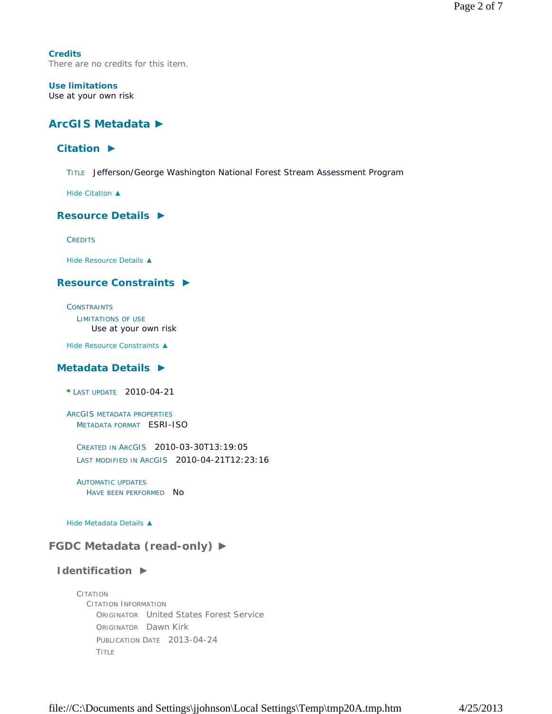**Credits** There are no credits for this item.

### **Use limitations** Use at your own risk

# **ArcGIS Metadata ►**

# **Citation ►**

TITLE Jefferson/George Washington National Forest Stream Assessment Program

*Hide Citation ▲*

## **Resource Details ►**

**CREDITS** 

*Hide Resource Details ▲*

## **Resource Constraints ►**

**CONSTRAINTS** LIMITATIONS OF USE Use at your own risk

*Hide Resource Constraints ▲*

## **Metadata Details ►**

**\*** LAST UPDATE 2010-04-21

ARCGIS METADATA PROPERTIES METADATA FORMAT ESRI-ISO

CREATED IN ARCGIS 2010-03-30T13:19:05 LAST MODIFIED IN ARCGIS 2010-04-21T12:23:16

AUTOMATIC UPDATES HAVE BEEN PERFORMED NO

*Hide Metadata Details ▲*

# **FGDC Metadata (read-only) ►**

## **Identification ►**

CITATION CITATION INFORMATION ORIGINATOR United States Forest Service ORIGINATOR Dawn Kirk PUBLICATION DATE 2013-04-24 TITLE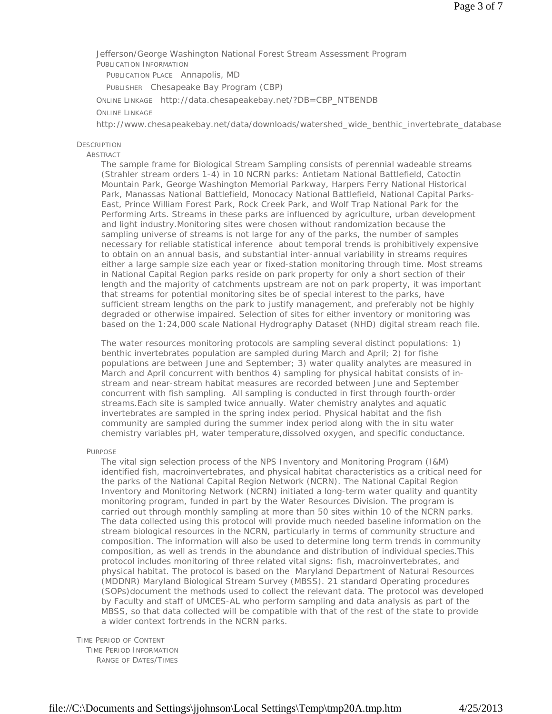Jefferson/George Washington National Forest Stream Assessment Program PUBLICATION INFORMATION

PUBLICATION PLACE Annapolis, MD

PUBLISHER Chesapeake Bay Program (CBP)

ONLINE LINKAGE http://data.chesapeakebay.net/?DB=CBP\_NTBENDB

### ONLINE LINKAGE

http://www.chesapeakebay.net/data/downloads/watershed\_wide\_benthic\_invertebrate\_database

#### **DESCRIPTION**

#### **ABSTRACT**

The sample frame for Biological Stream Sampling consists of perennial wadeable streams (Strahler stream orders 1-4) in 10 NCRN parks: Antietam National Battlefield, Catoctin Mountain Park, George Washington Memorial Parkway, Harpers Ferry National Historical Park, Manassas National Battlefield, Monocacy National Battlefield, National Capital Parks-East, Prince William Forest Park, Rock Creek Park, and Wolf Trap National Park for the Performing Arts. Streams in these parks are influenced by agriculture, urban development and light industry.Monitoring sites were chosen without randomization because the sampling universe of streams is not large for any of the parks, the number of samples necessary for reliable statistical inference about temporal trends is prohibitively expensive to obtain on an annual basis, and substantial inter-annual variability in streams requires either a large sample size each year or fixed-station monitoring through time. Most streams in National Capital Region parks reside on park property for only a short section of their length and the majority of catchments upstream are not on park property, it was important that streams for potential monitoring sites be of special interest to the parks, have sufficient stream lengths on the park to justify management, and preferably not be highly degraded or otherwise impaired. Selection of sites for either inventory or monitoring was based on the 1:24,000 scale National Hydrography Dataset (NHD) digital stream reach file.

The water resources monitoring protocols are sampling several distinct populations: 1) benthic invertebrates population are sampled during March and April; 2) for fishe populations are between June and September; 3) water quality analytes are measured in March and April concurrent with benthos 4) sampling for physical habitat consists of instream and near-stream habitat measures are recorded between June and September concurrent with fish sampling. All sampling is conducted in first through fourth-order streams.Each site is sampled twice annually. Water chemistry analytes and aquatic invertebrates are sampled in the spring index period. Physical habitat and the fish community are sampled during the summer index period along with the in situ water chemistry variables pH, water temperature,dissolved oxygen, and specific conductance.

PURPOSE

The vital sign selection process of the NPS Inventory and Monitoring Program (I&M) identified fish, macroinvertebrates, and physical habitat characteristics as a critical need for the parks of the National Capital Region Network (NCRN). The National Capital Region Inventory and Monitoring Network (NCRN) initiated a long-term water quality and quantity monitoring program, funded in part by the Water Resources Division. The program is carried out through monthly sampling at more than 50 sites within 10 of the NCRN parks. The data collected using this protocol will provide much needed baseline information on the stream biological resources in the NCRN, particularly in terms of community structure and composition. The information will also be used to determine long term trends in community composition, as well as trends in the abundance and distribution of individual species.This protocol includes monitoring of three related vital signs: fish, macroinvertebrates, and physical habitat. The protocol is based on the Maryland Department of Natural Resources (MDDNR) Maryland Biological Stream Survey (MBSS). 21 standard Operating procedures (SOPs)document the methods used to collect the relevant data. The protocol was developed by Faculty and staff of UMCES-AL who perform sampling and data analysis as part of the MBSS, so that data collected will be compatible with that of the rest of the state to provide a wider context fortrends in the NCRN parks.

# TIME PERIOD OF CONTENT

TIME PERIOD INFORMATION RANGE OF DATES/TIMES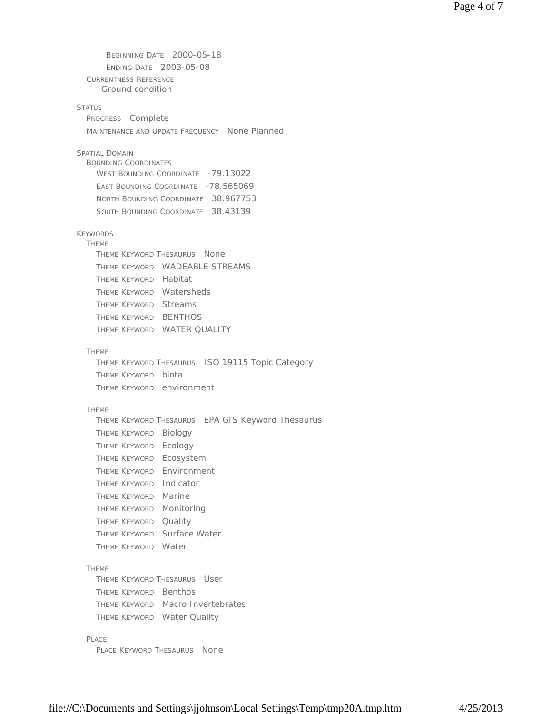BEGINNING DATE 2000-05-18 ENDING DATE 2003-05-08 CURRENTNESS REFERENCE **STATUS** PROGRESS Complete MAINTENANCE AND UPDATE FREQUENCY None Planned SPATIAL DOMAIN BOUNDING COORDINATES WEST BOUNDING COORDINATE -79.13022 EAST BOUNDING COORDINATE -78.565069 NORTH BOUNDING COORDINATE 38.967753 SOUTH BOUNDING COORDINATE 38.43139 KEYWORDS THEME THEME KEYWORD THESAURUS None THEME KEYWORD WADEABLE STREAMS THEME KEYWORD Habitat THEME KEYWORD Watersheds THEME KEYWORD Streams THEME KEYWORD BENTHOS THEME KEYWORD WATER QUALITY THEME THEME KEYWORD THESAURUS ISO 19115 Topic Category THEME KEYWORD biota THEME KEYWORD environment THEME THEME KEYWORD THESAURUS EPA GIS Keyword Thesaurus THEME KEYWORD Biology THEME KEYWORD Ecology THEME KEYWORD Ecosystem THEME KEYWORD Environment THEME KEYWORD Indicator THEME KEYWORD Marine THEME KEYWORD Monitoring THEME KEYWORD Quality THEME KEYWORD Surface Water THEME KEYWORD Water THEME THEME KEYWORD THESAURUS User THEME KEYWORD Benthos THEME KEYWORD Macro Invertebrates THEME KEYWORD Water Quality PLACE PLACE KEYWORD THESAURUS None Ground condition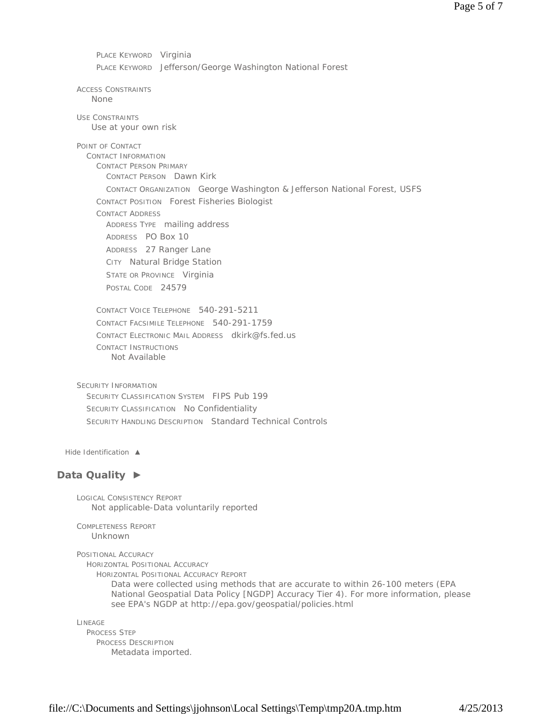PLACE KEYWORD Virginia PLACE KEYWORD Jefferson/George Washington National Forest

ACCESS CONSTRAINTS None

USE CONSTRAINTS Use at your own risk

POINT OF CONTACT

CONTACT INFORMATION CONTACT PERSON PRIMARY CONTACT PERSON Dawn Kirk CONTACT ORGANIZATION George Washington & Jefferson National Forest, USFS CONTACT POSITION Forest Fisheries Biologist CONTACT ADDRESS ADDRESS TYPE mailing address ADDRESS PO Box 10 ADDRESS 27 Ranger Lane CITY Natural Bridge Station STATE OR PROVINCE Virginia POSTAL CODE 24579

CONTACT VOICE TELEPHONE 540-291-5211 CONTACT FACSIMILE TELEPHONE 540-291-1759 CONTACT ELECTRONIC MAIL ADDRESS dkirk@fs.fed.us CONTACT INSTRUCTIONS Not Available

SECURITY INFORMATION SECURITY CLASSIFICATION SYSTEM FIPS Pub 199 SECURITY CLASSIFICATION No Confidentiality SECURITY HANDLING DESCRIPTION Standard Technical Controls

*Hide Identification ▲*

## **Data Quality ►**

LOGICAL CONSISTENCY REPORT Not applicable-Data voluntarily reported

COMPLETENESS REPORT Unknown

POSITIONAL ACCURACY

HORIZONTAL POSITIONAL ACCURACY

HORIZONTAL POSITIONAL ACCURACY REPORT

Data were collected using methods that are accurate to within 26-100 meters (EPA National Geospatial Data Policy [NGDP] Accuracy Tier 4). For more information, please see EPA's NGDP at http://epa.gov/geospatial/policies.html

LINEAGE PROCESS STEP PROCESS DESCRIPTION Metadata imported.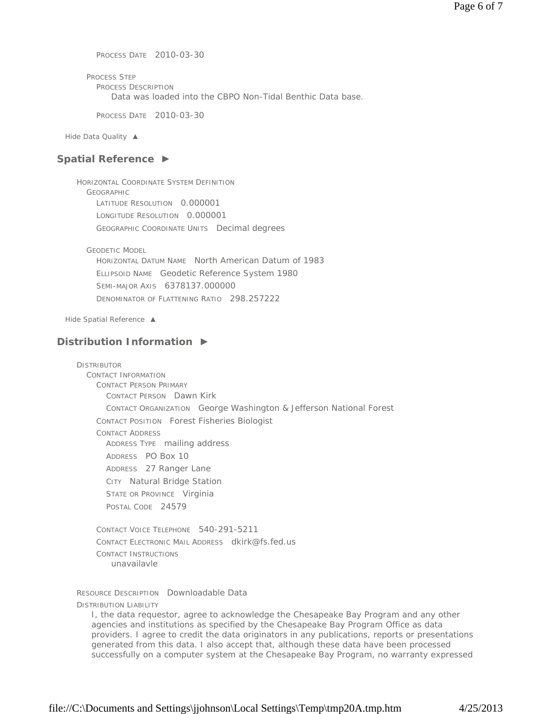PROCESS DATE 2010-03-30

PROCESS STEP PROCESS DESCRIPTION Data was loaded into the CBPO Non-Tidal Benthic Data base.

PROCESS DATE 2010-03-30

*Hide Data Quality ▲*

### **Spatial Reference ►**

HORIZONTAL COORDINATE SYSTEM DEFINITION GEOGRAPHIC LATITUDE RESOLUTION 0.000001 LONGITUDE RESOLUTION 0.000001 GEOGRAPHIC COORDINATE UNITS Decimal degrees

GEODETIC MODEL

HORIZONTAL DATUM NAME North American Datum of 1983 ELLIPSOID NAME Geodetic Reference System 1980 SEMI-MAJOR AXIS 6378137.000000 DENOMINATOR OF FLATTENING RATIO 298.257222

*Hide Spatial Reference ▲*

### **Distribution Information ►**

DISTRIBUTOR CONTACT INFORMATION CONTACT PERSON PRIMARY CONTACT PERSON Dawn Kirk CONTACT ORGANIZATION George Washington & Jefferson National Forest CONTACT POSITION Forest Fisheries Biologist CONTACT ADDRESS ADDRESS TYPE mailing address ADDRESS PO Box 10 ADDRESS 27 Ranger Lane CITY Natural Bridge Station STATE OR PROVINCE Virginia POSTAL CODE 24579

CONTACT VOICE TELEPHONE 540-291-5211 CONTACT ELECTRONIC MAIL ADDRESS dkirk@fs.fed.us CONTACT INSTRUCTIONS unavailavle

RESOURCE DESCRIPTION Downloadable Data

DISTRIBUTION LIABILITY

I, the data requestor, agree to acknowledge the Chesapeake Bay Program and any other agencies and institutions as specified by the Chesapeake Bay Program Office as data providers. I agree to credit the data originators in any publications, reports or presentations generated from this data. I also accept that, although these data have been processed successfully on a computer system at the Chesapeake Bay Program, no warranty expressed